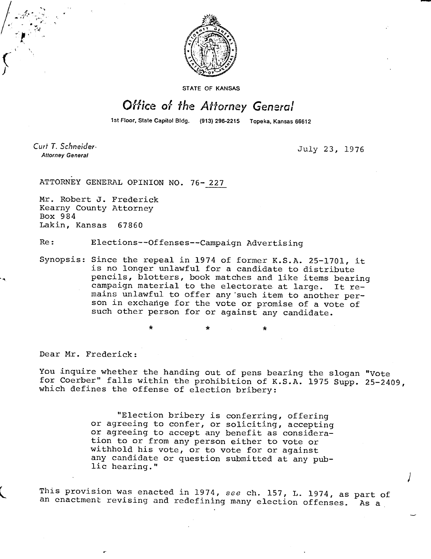

**STATE OF KANSAS** 

## Office of the Attorney General

1st Floor, State Capitol Bldg. (913) 296-2215 Topeka, Kansas 66612

Curt T. Schneider-**Attorney General** 

July 23, 1976

ATTORNEY GENERAL OPINION NO. 76-227

Mr. Robert J. Frederick Kearny County Attorney Box 984 Lakin, Kansas 67860

Re: Elections--Offenses--Campaign Advertising

Synopsis: Since the repeal in 1974 of former K.S.A. 25-1701, it is no longer unlawful for a candidate to distribute pencils, blotters, book matches and like items bearing campaign material to the electorate at large. It remains unlawful to offer any 'such item to another person in exchange for the vote or promise of a vote of such other person for or against any candidate.

\*

Dear Mr. Frederick:

You inquire whether the handing out of pens bearing the slogan "Vote for Coerber" falls within the prohibition of K.S.A. 1975 Supp. 25-2409, which defines the offense of election bribery:

> "Election bribery is conferring, offering or agreeing to confer, or soliciting, accepting or agreeing to accept any benefit as consideration to or from any person either to vote or withhold his vote, or to vote for or against any candidate or question submitted at any public hearing."

This provision was enacted in 1974, see ch. 157, L. 1974, as part of an enactment revising and redefining many election offenses. As a